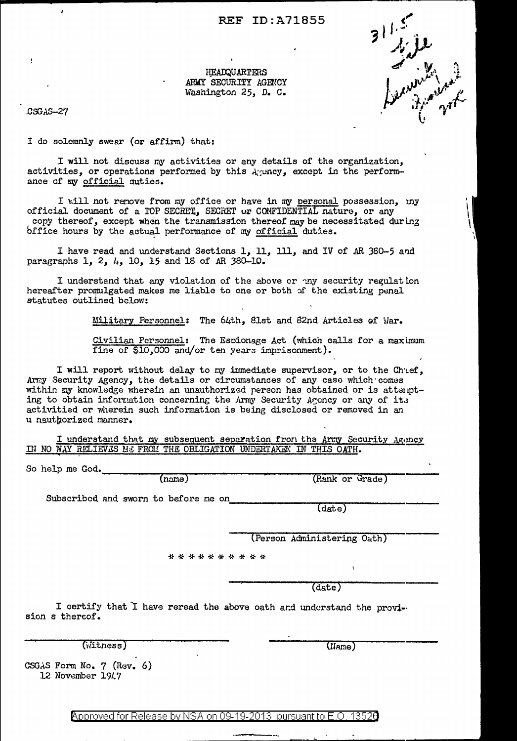## **REF ID: A71855**

HEADQUARTERS ARMY SECURITY AGENCY Washington 25, D. C.

CSGAS-27

I do solemnly swear (or affirm) that:

I will not discuss my activities or any details of the organization, activities, or operations performed by this Agency, except in the performance of my official auties.

I will not remove from my office or have in my personal possession, my official document of a TOP SECRET, SECRET or CONFIDENTIAL nature, or any copy thereof, except when the transmission thereof may be necessitated during office hours by the actual performance of my official duties.

I have read and understand Sections 1, 11, 111, and IV of AR 380-5 and paragraphs 1, 2, 4, 10, 15 and 18 of AR 380-10.

I understand that any violation of the above or my security regulation hereafter promulgated makes me liable to one or both of the existing penal statutes outlined below:

Military Personnel: The 64th, 81st and 82nd Articles of War.

Civilian Personnel: The Espionage Act (which calls for a maximum fine of \$10,000 and/or ten years imprisonment).

I will report without delay to my immediate supervisor, or to the Chuef, Army Security Agency, the details or circumstances of any case which comes within my knowledge wherein an unauthorized person has obtained or is attempting to obtain information concerning the Army Security Agency or any of its activitied or wherein such information is being disclosed or removed in an u nauthorized manner.

I understand that my subsequent separation from the Army Security Agency IN NO WAY RELIEVES ME FROM THE OBLIGATION UNDERTAKEN IN THIS OATH.

So help me God.

(name)

(Rank or Grade)

Subscribed and sworn to before me on

 $(\overline{\text{date}})$ 

(Person Administering Oath)

\* \* \* \* \* \* \* \* \* \*

 $(date)$ 

I certify that I have reread the above oath and understand the provision s thereof.

 $(i$ itness)

 $($ IJame $)$ 

CSGAS Form No. 7 (Rev. 6) 12 November 1947

Approved for Release by NSA on 09-19-2013 pursuant to E.O. 13526